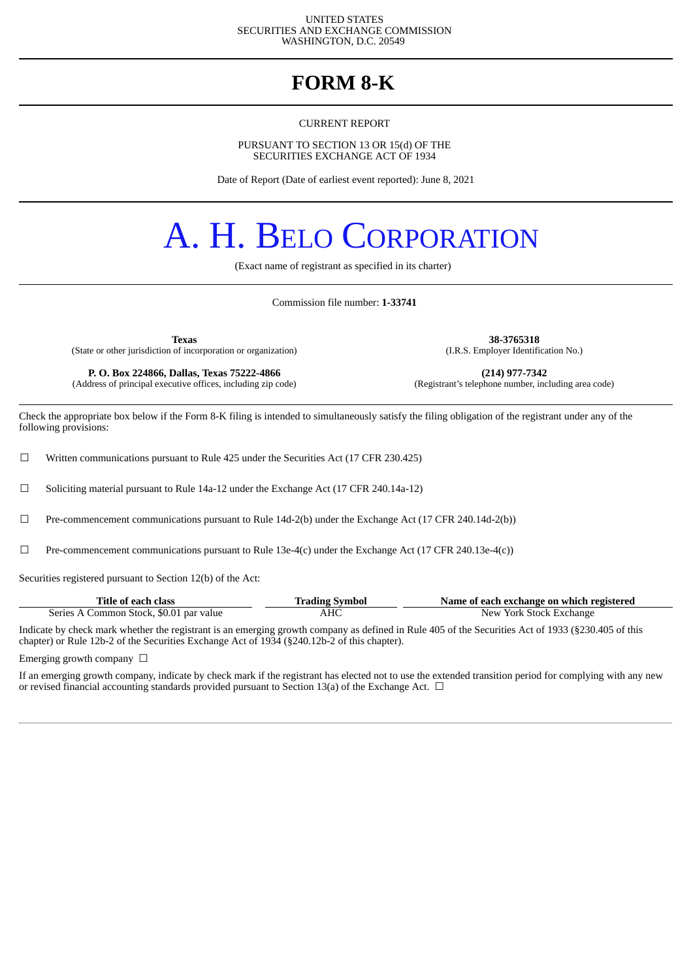#### UNITED STATES SECURITIES AND EXCHANGE COMMISSION WASHINGTON, D.C. 20549

# **FORM 8-K**

CURRENT REPORT

PURSUANT TO SECTION 13 OR 15(d) OF THE SECURITIES EXCHANGE ACT OF 1934

Date of Report (Date of earliest event reported): June 8, 2021

# A. H. BELO CORPORATION

(Exact name of registrant as specified in its charter)

Commission file number: **1-33741**

**Texas 38-3765318** (State or other jurisdiction of incorporation or organization)

(Address of principal executive offices, including zip code)

**P. O. Box 224866, Dallas, Texas 75222-4866** (214) **(214) 977-7342** (dress of principal executive offices, including zip code) (Registrant's telephone number, including area code)

Check the appropriate box below if the Form 8-K filing is intended to simultaneously satisfy the filing obligation of the registrant under any of the following provisions:

 $\Box$  Written communications pursuant to Rule 425 under the Securities Act (17 CFR 230.425)

 $\Box$  Soliciting material pursuant to Rule 14a-12 under the Exchange Act (17 CFR 240.14a-12)

☐ Pre-commencement communications pursuant to Rule 14d-2(b) under the Exchange Act (17 CFR 240.14d-2(b))

 $□$  Pre-commencement communications pursuant to Rule 13e-4(c) under the Exchange Act (17 CFR 240.13e-4(c))

Securities registered pursuant to Section 12(b) of the Act:

| Title of each class                     | <b>Trading Symbol</b> | Name of each exchange on which registered |
|-----------------------------------------|-----------------------|-------------------------------------------|
| Series A Common Stock, \$0.01 par value | AHC                   | New York Stock Exchange                   |

Indicate by check mark whether the registrant is an emerging growth company as defined in Rule 405 of the Securities Act of 1933 (§230.405 of this chapter) or Rule 12b-2 of the Securities Exchange Act of 1934 (§240.12b-2 of this chapter).

Emerging growth company  $\Box$ 

If an emerging growth company, indicate by check mark if the registrant has elected not to use the extended transition period for complying with any new or revised financial accounting standards provided pursuant to Section 13(a) of the Exchange Act.  $\Box$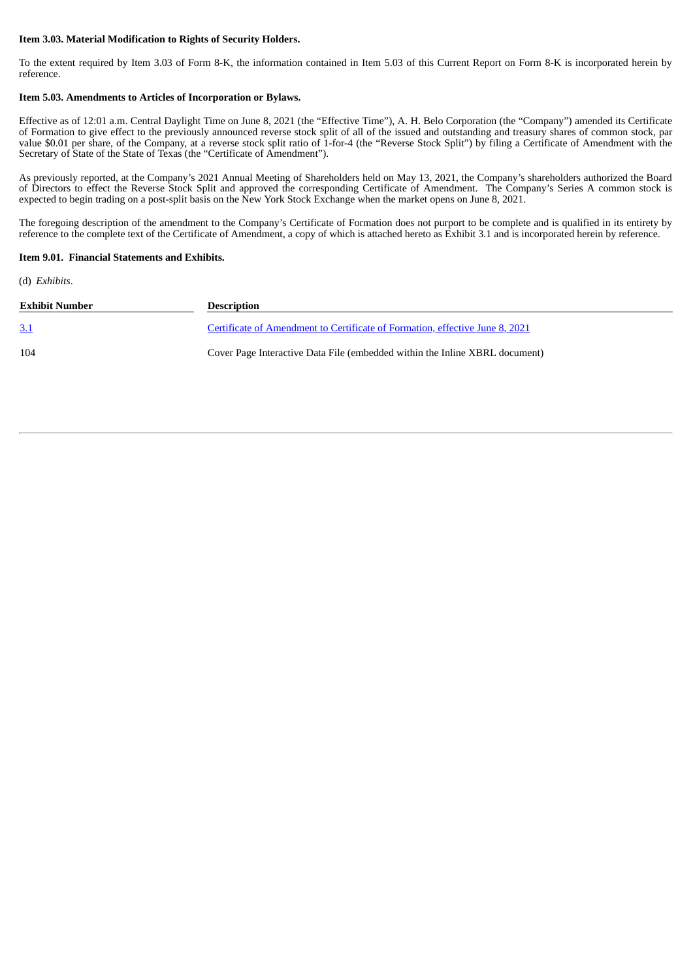#### **Item 3.03. Material Modification to Rights of Security Holders.**

To the extent required by Item 3.03 of Form 8-K, the information contained in Item 5.03 of this Current Report on Form 8-K is incorporated herein by reference.

#### **Item 5.03. Amendments to Articles of Incorporation or Bylaws.**

Effective as of 12:01 a.m. Central Daylight Time on June 8, 2021 (the "Effective Time"), A. H. Belo Corporation (the "Company") amended its Certificate of Formation to give effect to the previously announced reverse stock split of all of the issued and outstanding and treasury shares of common stock, par value \$0.01 per share, of the Company, at a reverse stock split ratio of 1-for-4 (the "Reverse Stock Split") by filing a Certificate of Amendment with the Secretary of State of the State of Texas (the "Certificate of Amendment").

As previously reported, at the Company's 2021 Annual Meeting of Shareholders held on May 13, 2021, the Company's shareholders authorized the Board of Directors to effect the Reverse Stock Split and approved the corresponding Certificate of Amendment. The Company's Series A common stock is expected to begin trading on a post-split basis on the New York Stock Exchange when the market opens on June 8, 2021.

The foregoing description of the amendment to the Company's Certificate of Formation does not purport to be complete and is qualified in its entirety by reference to the complete text of the Certificate of Amendment, a copy of which is attached hereto as Exhibit 3.1 and is incorporated herein by reference.

#### **Item 9.01. Financial Statements and Exhibits.**

(d) *Exhibits*.

| Exhibit Number | <b>Description</b>                                                           |
|----------------|------------------------------------------------------------------------------|
| <u>3.1</u>     | Certificate of Amendment to Certificate of Formation, effective June 8, 2021 |
| 104            | Cover Page Interactive Data File (embedded within the Inline XBRL document)  |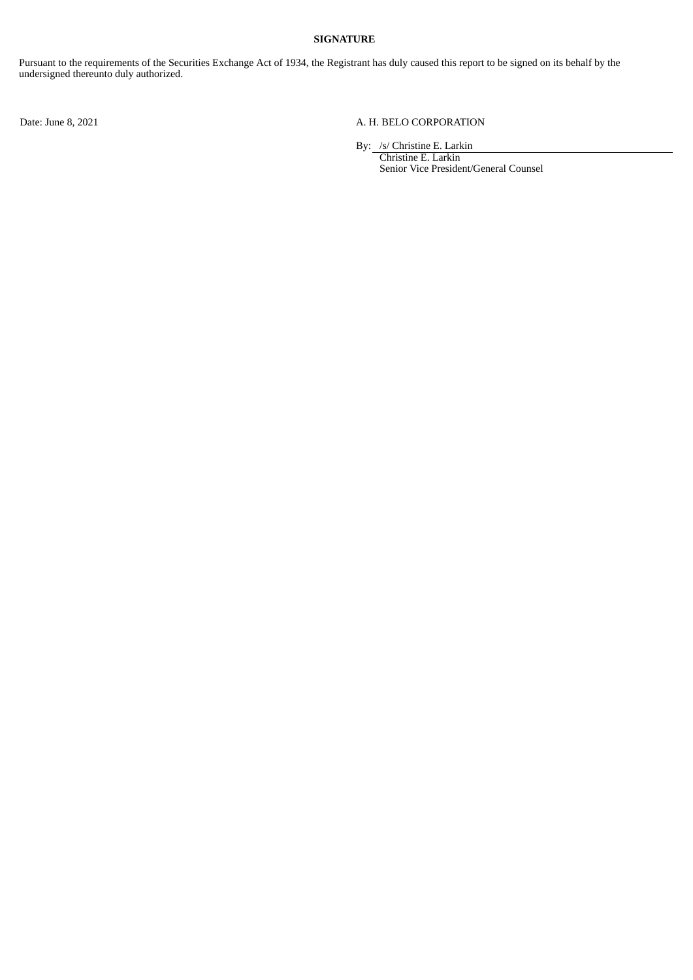### **SIGNATURE**

Pursuant to the requirements of the Securities Exchange Act of 1934, the Registrant has duly caused this report to be signed on its behalf by the undersigned thereunto duly authorized.

# Date: June 8, 2021 A. H. BELO CORPORATION

By: /s/ Christine E. Larkin

Christine E. Larkin Senior Vice President/General Counsel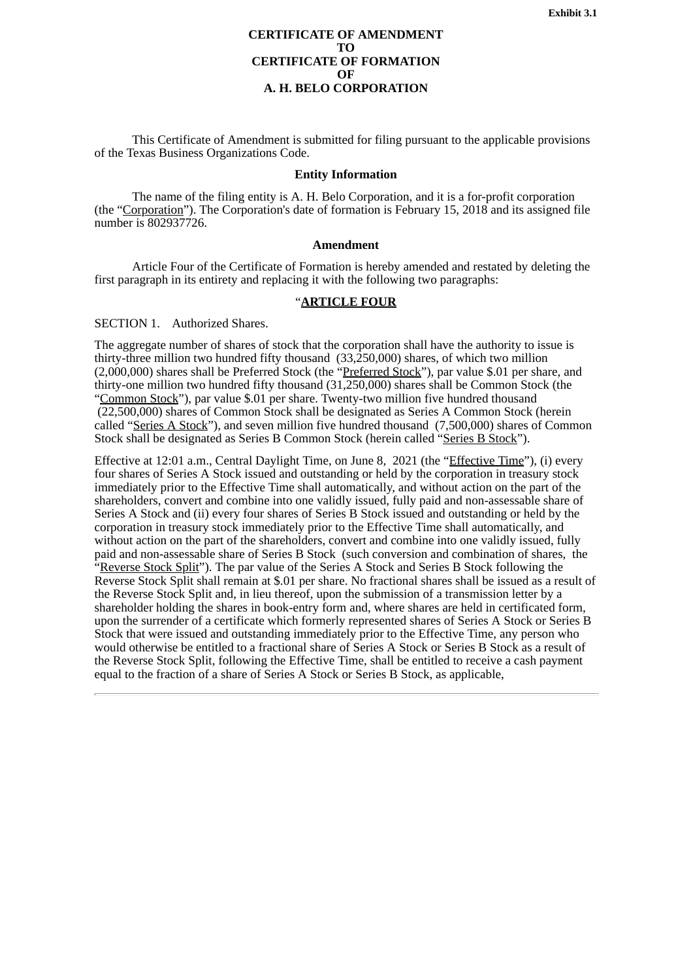#### **CERTIFICATE OF AMENDMENT TO CERTIFICATE OF FORMATION OF A. H. BELO CORPORATION**

<span id="page-3-0"></span>This Certificate of Amendment is submitted for filing pursuant to the applicable provisions of the Texas Business Organizations Code.

#### **Entity Information**

The name of the filing entity is A. H. Belo Corporation, and it is a for-profit corporation (the "Corporation"). The Corporation's date of formation is February 15, 2018 and its assigned file number is 802937726.

#### **Amendment**

Article Four of the Certificate of Formation is hereby amended and restated by deleting the first paragraph in its entirety and replacing it with the following two paragraphs:

# "**ARTICLE FOUR**

# SECTION 1. Authorized Shares.

The aggregate number of shares of stock that the corporation shall have the authority to issue is thirty-three million two hundred fifty thousand (33,250,000) shares, of which two million (2,000,000) shares shall be Preferred Stock (the "Preferred Stock"), par value \$.01 per share, and thirty-one million two hundred fifty thousand (31,250,000) shares shall be Common Stock (the "Common Stock"), par value \$.01 per share. Twenty-two million five hundred thousand (22,500,000) shares of Common Stock shall be designated as Series A Common Stock (herein called "Series A Stock"), and seven million five hundred thousand (7,500,000) shares of Common Stock shall be designated as Series B Common Stock (herein called "Series B Stock").

Effective at 12:01 a.m., Central Daylight Time, on June 8, 2021 (the "Effective Time"), (i) every four shares of Series A Stock issued and outstanding or held by the corporation in treasury stock immediately prior to the Effective Time shall automatically, and without action on the part of the shareholders, convert and combine into one validly issued, fully paid and non-assessable share of Series A Stock and (ii) every four shares of Series B Stock issued and outstanding or held by the corporation in treasury stock immediately prior to the Effective Time shall automatically, and without action on the part of the shareholders, convert and combine into one validly issued, fully paid and non-assessable share of Series B Stock (such conversion and combination of shares, the \*<br>"Reverse Stock Split"). The par value of the Series A Stock and Series B Stock following the Reverse Stock Split shall remain at \$.01 per share. No fractional shares shall be issued as a result of the Reverse Stock Split and, in lieu thereof, upon the submission of a transmission letter by a shareholder holding the shares in book-entry form and, where shares are held in certificated form, upon the surrender of a certificate which formerly represented shares of Series A Stock or Series B Stock that were issued and outstanding immediately prior to the Effective Time, any person who would otherwise be entitled to a fractional share of Series A Stock or Series B Stock as a result of the Reverse Stock Split, following the Effective Time, shall be entitled to receive a cash payment equal to the fraction of a share of Series A Stock or Series B Stock, as applicable,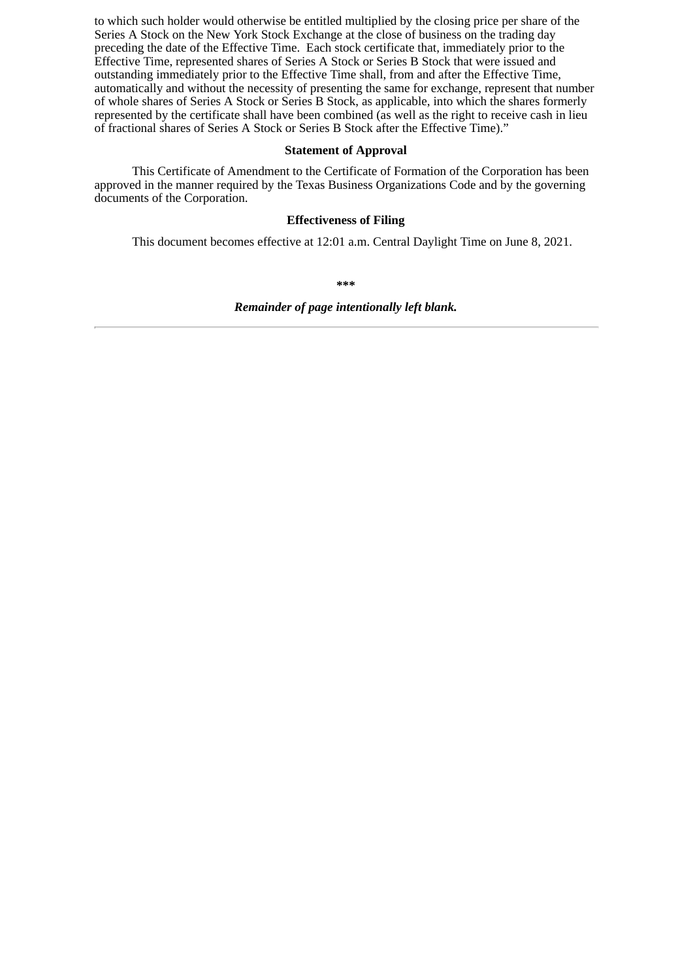to which such holder would otherwise be entitled multiplied by the closing price per share of the Series A Stock on the New York Stock Exchange at the close of business on the trading day preceding the date of the Effective Time. Each stock certificate that, immediately prior to the Effective Time, represented shares of Series A Stock or Series B Stock that were issued and outstanding immediately prior to the Effective Time shall, from and after the Effective Time, automatically and without the necessity of presenting the same for exchange, represent that number of whole shares of Series A Stock or Series B Stock, as applicable, into which the shares formerly represented by the certificate shall have been combined (as well as the right to receive cash in lieu of fractional shares of Series A Stock or Series B Stock after the Effective Time)."

# **Statement of Approval**

This Certificate of Amendment to the Certificate of Formation of the Corporation has been approved in the manner required by the Texas Business Organizations Code and by the governing documents of the Corporation.

### **Effectiveness of Filing**

This document becomes effective at 12:01 a.m. Central Daylight Time on June 8, 2021.

**\*\*\***

*Remainder of page intentionally left blank.*